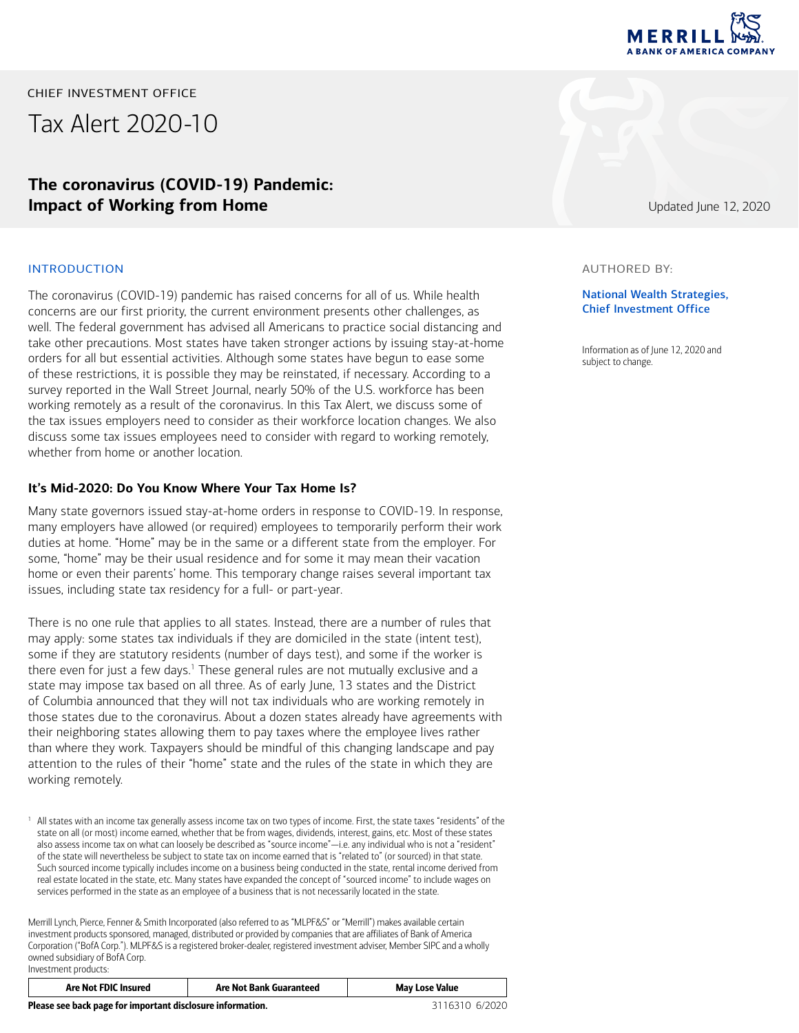

CHIEF INVESTMENT OFFICE

Tax Alert 2020-10

## **The coronavirus (COVID-19) Pandemic: Impact of Working from Home**

### INTRODUCTION

The coronavirus (COVID-19) pandemic has raised concerns for all of us. While health concerns are our first priority, the current environment presents other challenges, as well. The federal government has advised all Americans to practice social distancing and take other precautions. Most states have taken stronger actions by issuing stay-at-home orders for all but essential activities. Although some states have begun to ease some of these restrictions, it is possible they may be reinstated, if necessary. According to a survey reported in the Wall Street Journal, nearly 50% of the U.S. workforce has been working remotely as a result of the coronavirus. In this Tax Alert, we discuss some of the tax issues employers need to consider as their workforce location changes. We also discuss some tax issues employees need to consider with regard to working remotely, whether from home or another location.

### **It's Mid-2020: Do You Know Where Your Tax Home Is?**

Many state governors issued stay-at-home orders in response to COVID-19. In response, many employers have allowed (or required) employees to temporarily perform their work duties at home. "Home" may be in the same or a different state from the employer. For some, "home" may be their usual residence and for some it may mean their vacation home or even their parents' home. This temporary change raises several important tax issues, including state tax residency for a full- or part-year.

There is no one rule that applies to all states. Instead, there are a number of rules that may apply: some states tax individuals if they are domiciled in the state (intent test), some if they are statutory residents (number of days test), and some if the worker is there even for just a few days.<sup>1</sup> These general rules are not mutually exclusive and a state may impose tax based on all three. As of early June, 13 states and the District of Columbia announced that they will not tax individuals who are working remotely in those states due to the coronavirus. About a dozen states already have agreements with their neighboring states allowing them to pay taxes where the employee lives rather than where they work. Taxpayers should be mindful of this changing landscape and pay attention to the rules of their "home" state and the rules of the state in which they are working remotely.

Merrill Lynch, Pierce, Fenner & Smith Incorporated (also referred to as "MLPF&S" or "Merrill") makes available certain investment products sponsored, managed, distributed or provided by companies that are affiliates of Bank of America Corporation ("BofA Corp."). MLPF&S is a registered broker-dealer, registered investment adviser, Member SIPC and a wholly owned subsidiary of BofA Corp. Investment products:

| Are Not FDIC Insured                                       | <b>Are Not Bank Guaranteed</b> | <b>May Lose Value</b> |
|------------------------------------------------------------|--------------------------------|-----------------------|
| Please see back page for important disclosure information. |                                | 3116310 6/2020        |

Updated June 12, 2020

#### AUTHORED BY:

### National Wealth Strategies, Chief Investment Office

Information as of June 12, 2020 and subject to change.

<sup>1</sup> All states with an income tax generally assess income tax on two types of income. First, the state taxes "residents" of the state on all (or most) income earned, whether that be from wages, dividends, interest, gains, etc. Most of these states also assess income tax on what can loosely be described as "source income"—i.e. any individual who is not a "resident" of the state will nevertheless be subject to state tax on income earned that is "related to" (or sourced) in that state. Such sourced income typically includes income on a business being conducted in the state, rental income derived from real estate located in the state, etc. Many states have expanded the concept of "sourced income" to include wages on services performed in the state as an employee of a business that is not necessarily located in the state.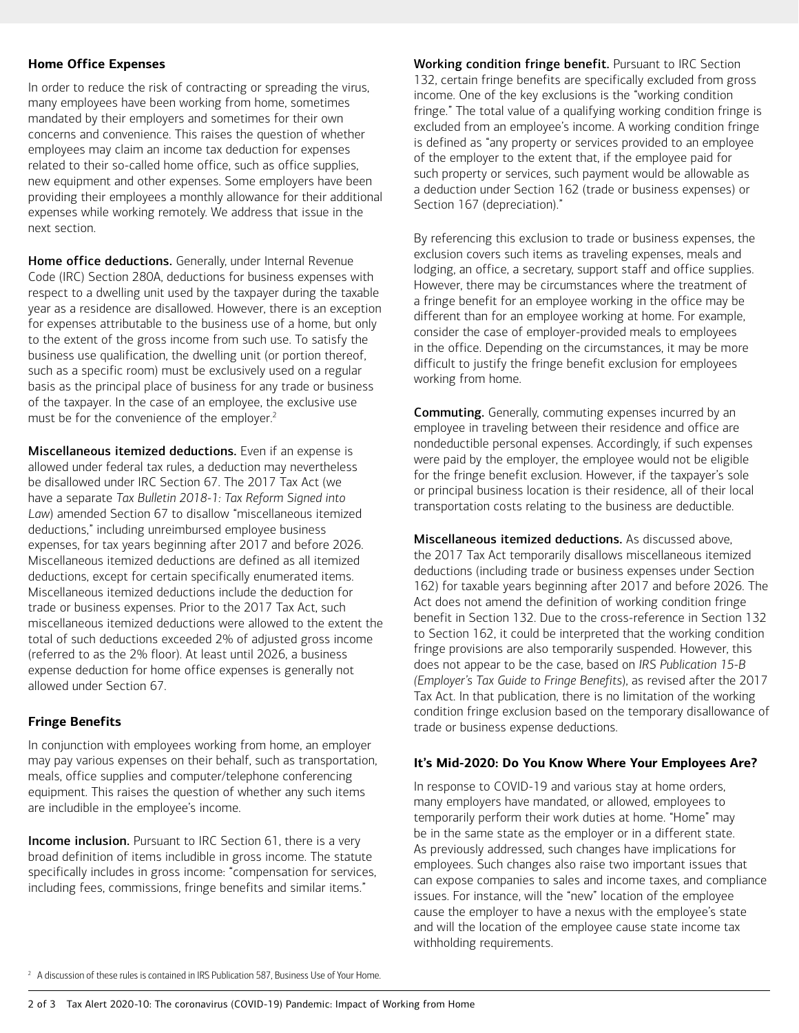### **Home Office Expenses**

In order to reduce the risk of contracting or spreading the virus, many employees have been working from home, sometimes mandated by their employers and sometimes for their own concerns and convenience. This raises the question of whether employees may claim an income tax deduction for expenses related to their so-called home office, such as office supplies, new equipment and other expenses. Some employers have been providing their employees a monthly allowance for their additional expenses while working remotely. We address that issue in the next section.

Home office deductions. Generally, under Internal Revenue Code (IRC) Section 280A, deductions for business expenses with respect to a dwelling unit used by the taxpayer during the taxable year as a residence are disallowed. However, there is an exception for expenses attributable to the business use of a home, but only to the extent of the gross income from such use. To satisfy the business use qualification, the dwelling unit (or portion thereof, such as a specific room) must be exclusively used on a regular basis as the principal place of business for any trade or business of the taxpayer. In the case of an employee, the exclusive use must be for the convenience of the employer.<sup>2</sup>

Miscellaneous itemized deductions. Even if an expense is allowed under federal tax rules, a deduction may nevertheless be disallowed under IRC Section 67. The 2017 Tax Act (we have a separate *Tax Bulletin 2018-1: Tax Reform Signed into Law*) amended Section 67 to disallow "miscellaneous itemized deductions," including unreimbursed employee business expenses, for tax years beginning after 2017 and before 2026. Miscellaneous itemized deductions are defined as all itemized deductions, except for certain specifically enumerated items. Miscellaneous itemized deductions include the deduction for trade or business expenses. Prior to the 2017 Tax Act, such miscellaneous itemized deductions were allowed to the extent the total of such deductions exceeded 2% of adjusted gross income (referred to as the 2% floor). At least until 2026, a business expense deduction for home office expenses is generally not allowed under Section 67.

## **Fringe Benefits**

In conjunction with employees working from home, an employer may pay various expenses on their behalf, such as transportation, meals, office supplies and computer/telephone conferencing equipment. This raises the question of whether any such items are includible in the employee's income.

Income inclusion. Pursuant to IRC Section 61, there is a very broad definition of items includible in gross income. The statute specifically includes in gross income: "compensation for services, including fees, commissions, fringe benefits and similar items."

Working condition fringe benefit. Pursuant to IRC Section 132, certain fringe benefits are specifically excluded from gross income. One of the key exclusions is the "working condition fringe." The total value of a qualifying working condition fringe is excluded from an employee's income. A working condition fringe is defined as "any property or services provided to an employee of the employer to the extent that, if the employee paid for such property or services, such payment would be allowable as a deduction under Section 162 (trade or business expenses) or Section 167 (depreciation)."

By referencing this exclusion to trade or business expenses, the exclusion covers such items as traveling expenses, meals and lodging, an office, a secretary, support staff and office supplies. However, there may be circumstances where the treatment of a fringe benefit for an employee working in the office may be different than for an employee working at home. For example, consider the case of employer-provided meals to employees in the office. Depending on the circumstances, it may be more difficult to justify the fringe benefit exclusion for employees working from home.

**Commuting.** Generally, commuting expenses incurred by an employee in traveling between their residence and office are nondeductible personal expenses. Accordingly, if such expenses were paid by the employer, the employee would not be eligible for the fringe benefit exclusion. However, if the taxpayer's sole or principal business location is their residence, all of their local transportation costs relating to the business are deductible.

Miscellaneous itemized deductions. As discussed above, the 2017 Tax Act temporarily disallows miscellaneous itemized deductions (including trade or business expenses under Section 162) for taxable years beginning after 2017 and before 2026. The Act does not amend the definition of working condition fringe benefit in Section 132. Due to the cross-reference in Section 132 to Section 162, it could be interpreted that the working condition fringe provisions are also temporarily suspended. However, this does not appear to be the case, based on *IRS Publication 15-B (Employer's Tax Guide to Fringe Benefits*), as revised after the 2017 Tax Act. In that publication, there is no limitation of the working condition fringe exclusion based on the temporary disallowance of trade or business expense deductions.

## **It's Mid-2020: Do You Know Where Your Employees Are?**

In response to COVID-19 and various stay at home orders, many employers have mandated, or allowed, employees to temporarily perform their work duties at home. "Home" may be in the same state as the employer or in a different state. As previously addressed, such changes have implications for employees. Such changes also raise two important issues that can expose companies to sales and income taxes, and compliance issues. For instance, will the "new" location of the employee cause the employer to have a nexus with the employee's state and will the location of the employee cause state income tax withholding requirements.

 $2\,$  A discussion of these rules is contained in IRS Publication 587, Business Use of Your Home.